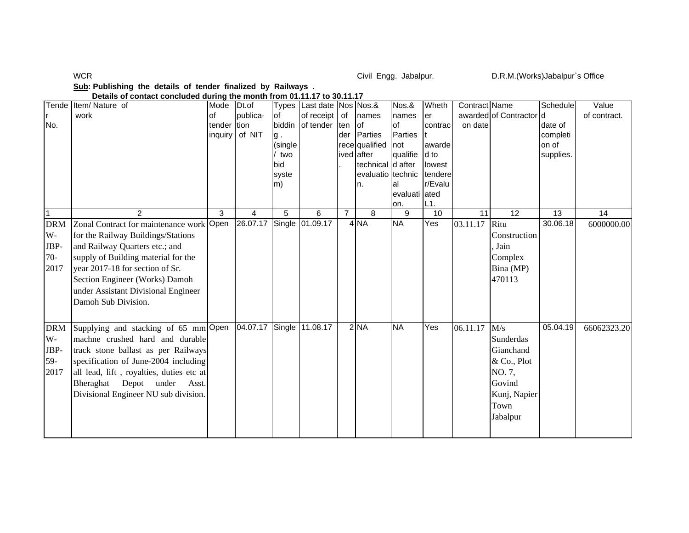WCR

Civil Engg. Jabalpur. D.R.M.(Works)Jabalpur`s Office

## **Sub: Publishing the details of tender finalized by Railways .**

 **Details of contact concluded during the month from 01.11.17 to 30.11.17**

| No.                                       | Tende Item/Nature of<br>work                                                                                                                                                                                                                                                               | Mode<br>of<br>tender<br>inquiry | Dt.of<br>publica-<br>tion<br>of NIT | of<br>biddin<br>g.<br>(single<br>/ two<br>bid<br>syste<br>m) | Types   Last date   Nos   Nos. &<br>of receipt<br>of tender | of<br>ten<br>der | names<br>lof<br>Parties<br>rece qualified<br>ived after<br>technical d after<br>evaluatio technic<br>n. | Nos.&<br>names<br>of<br>Parties<br>not<br>qualifie<br>lal | Wheth<br>er<br>contrac<br>lawarde<br>d to<br>lowest<br>tendere<br>r/Evalu | Contract Name<br>on date | awarded of Contractor d                                                                              | <b>Schedule</b><br>date of<br>completi<br>on of<br>supplies. | Value<br>of contract. |
|-------------------------------------------|--------------------------------------------------------------------------------------------------------------------------------------------------------------------------------------------------------------------------------------------------------------------------------------------|---------------------------------|-------------------------------------|--------------------------------------------------------------|-------------------------------------------------------------|------------------|---------------------------------------------------------------------------------------------------------|-----------------------------------------------------------|---------------------------------------------------------------------------|--------------------------|------------------------------------------------------------------------------------------------------|--------------------------------------------------------------|-----------------------|
|                                           |                                                                                                                                                                                                                                                                                            |                                 |                                     |                                                              |                                                             |                  |                                                                                                         | evaluati ated<br>on.                                      | L1.                                                                       |                          |                                                                                                      |                                                              |                       |
|                                           | $\mathcal{P}$                                                                                                                                                                                                                                                                              | 3                               | 4                                   | 5                                                            | 6                                                           | $\overline{7}$   | 8                                                                                                       | $\overline{9}$                                            | $\overline{10}$                                                           | 11                       | 12                                                                                                   | $\overline{13}$                                              | 14                    |
| <b>DRM</b><br>W-<br>JBP-<br>$70-$<br>2017 | Zonal Contract for maintenance work Open<br>for the Railway Buildings/Stations<br>and Railway Quarters etc.; and<br>supply of Building material for the<br>year 2017-18 for section of Sr.<br>Section Engineer (Works) Damoh<br>under Assistant Divisional Engineer<br>Damoh Sub Division. |                                 | 26.07.17 Single 01.09.17            |                                                              |                                                             |                  | 4 <sub>NA</sub>                                                                                         | <b>NA</b>                                                 | Yes                                                                       | 03.11.17                 | Ritu<br>Construction<br>. Jain<br>Complex<br>Bina (MP)<br>470113                                     | 30.06.18                                                     | 6000000.00            |
| <b>DRM</b><br>W-<br>JBP-<br>59-<br>2017   | Supplying and stacking of 65 mm Open<br>machne crushed hard and durable<br>track stone ballast as per Railways<br>specification of June-2004 including<br>all lead, lift, royalties, duties etc at<br>Bheraghat Depot under Asst.<br>Divisional Engineer NU sub division.                  |                                 | 04.07.17 Single                     |                                                              | 11.08.17                                                    |                  | $2$ NA                                                                                                  | <b>NA</b>                                                 | Yes                                                                       | 06.11.17                 | M/s<br>Sunderdas<br>Gianchand<br>& Co., Plot<br>NO. 7,<br>Govind<br>Kunj, Napier<br>Town<br>Jabalpur | 05.04.19                                                     | 66062323.20           |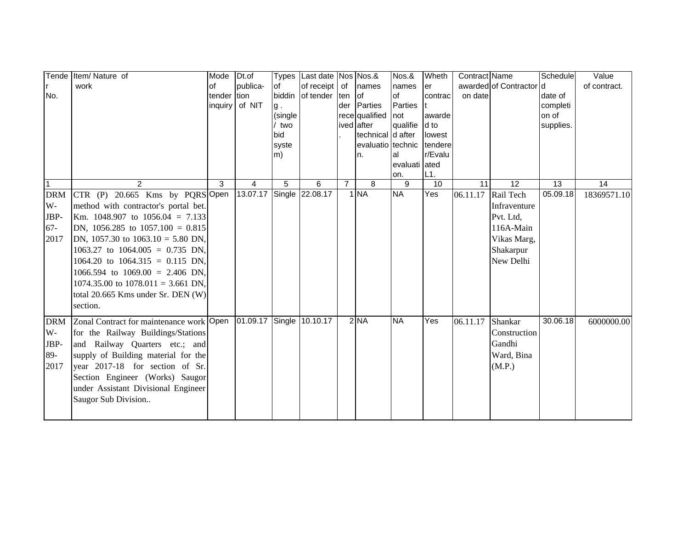|            | Tende Item/ Nature of                    | Mode           | Dt.of                    | <b>Types</b> | Last date Nos Nos.& |                |                   | Nos.&           | Wheth     | Contract Name |                         | Schedule  | Value        |
|------------|------------------------------------------|----------------|--------------------------|--------------|---------------------|----------------|-------------------|-----------------|-----------|---------------|-------------------------|-----------|--------------|
|            | work                                     | <b>of</b>      | bublica-                 | <b>of</b>    | of receipt          | of             | names             | names           | er        |               | awarded of Contractor d |           | of contract. |
| No.        |                                          | tender         | tion                     | biddin       | of tender           | ten            | of                | of              | contrac   | on date       |                         | date of   |              |
|            |                                          | inquiry of NIT |                          | g.           |                     | der            | Parties           | <b>Parties</b>  |           |               |                         | completi  |              |
|            |                                          |                |                          | (single      |                     |                | rece qualified    | not             | awarde    |               |                         | on of     |              |
|            |                                          |                |                          | two          |                     |                | ived after        | qualifie        | d to      |               |                         | supplies. |              |
|            |                                          |                |                          | bid          |                     |                | technical d after |                 | lowest    |               |                         |           |              |
|            |                                          |                |                          | syste        |                     |                | evaluatio technic |                 | tendere   |               |                         |           |              |
|            |                                          |                |                          | m)           |                     |                | n.                | al              | r/Evalu   |               |                         |           |              |
|            |                                          |                |                          |              |                     |                |                   | evaluati ated   |           |               |                         |           |              |
| l 1        | $\overline{2}$                           | 3              | $\overline{4}$           | 5            | 6                   | $\overline{7}$ | 8                 | on.<br>9        | L1.<br>10 | 11            | 12                      | 13        | 14           |
| <b>DRM</b> | CTR (P) 20.665 Kms by PQRSOpen           |                | 13.07.17 Single          |              | 22.08.17            |                | 1 NA              | $\overline{NA}$ | Yes       | 06.11.17      | Rail Tech               | 05.09.18  | 18369571.10  |
| $W -$      |                                          |                |                          |              |                     |                |                   |                 |           |               | Infraventure            |           |              |
|            | method with contractor's portal bet.     |                |                          |              |                     |                |                   |                 |           |               |                         |           |              |
| JBP-       | Km. 1048.907 to $1056.04 = 7.133$        |                |                          |              |                     |                |                   |                 |           |               | Pvt. Ltd,               |           |              |
| $67 -$     | DN, 1056.285 to $1057.100 = 0.815$       |                |                          |              |                     |                |                   |                 |           |               | 116A-Main               |           |              |
| 2017       | DN, 1057.30 to $1063.10 = 5.80$ DN,      |                |                          |              |                     |                |                   |                 |           |               | Vikas Marg,             |           |              |
|            | 1063.27 to 1064.005 = 0.735 DN,          |                |                          |              |                     |                |                   |                 |           |               | Shakarpur               |           |              |
|            | 1064.20 to 1064.315 = 0.115 DN,          |                |                          |              |                     |                |                   |                 |           |               | New Delhi               |           |              |
|            | 1066.594 to 1069.00 = 2.406 DN,          |                |                          |              |                     |                |                   |                 |           |               |                         |           |              |
|            | 1074.35.00 to $1078.011 = 3.661$ DN,     |                |                          |              |                     |                |                   |                 |           |               |                         |           |              |
|            | total 20.665 Kms under Sr. DEN (W)       |                |                          |              |                     |                |                   |                 |           |               |                         |           |              |
|            | section.                                 |                |                          |              |                     |                |                   |                 |           |               |                         |           |              |
|            |                                          |                |                          |              |                     |                |                   |                 |           |               |                         |           |              |
| <b>DRM</b> | Zonal Contract for maintenance work Open |                | 01.09.17 Single 10.10.17 |              |                     |                | $2$ NA            | <b>NA</b>       | Yes       | 06.11.17      | Shankar                 | 30.06.18  | 6000000.00   |
| $W -$      | for the Railway Buildings/Stations       |                |                          |              |                     |                |                   |                 |           |               | Construction            |           |              |
| JBP-       | and Railway Quarters etc.; and           |                |                          |              |                     |                |                   |                 |           |               | Gandhi                  |           |              |
| 89-        | supply of Building material for the      |                |                          |              |                     |                |                   |                 |           |               | Ward, Bina              |           |              |
| 2017       | year 2017-18 for section of Sr.          |                |                          |              |                     |                |                   |                 |           |               | (M.P.)                  |           |              |
|            | Section Engineer (Works) Saugor          |                |                          |              |                     |                |                   |                 |           |               |                         |           |              |
|            | under Assistant Divisional Engineer      |                |                          |              |                     |                |                   |                 |           |               |                         |           |              |
|            | Saugor Sub Division                      |                |                          |              |                     |                |                   |                 |           |               |                         |           |              |
|            |                                          |                |                          |              |                     |                |                   |                 |           |               |                         |           |              |
|            |                                          |                |                          |              |                     |                |                   |                 |           |               |                         |           |              |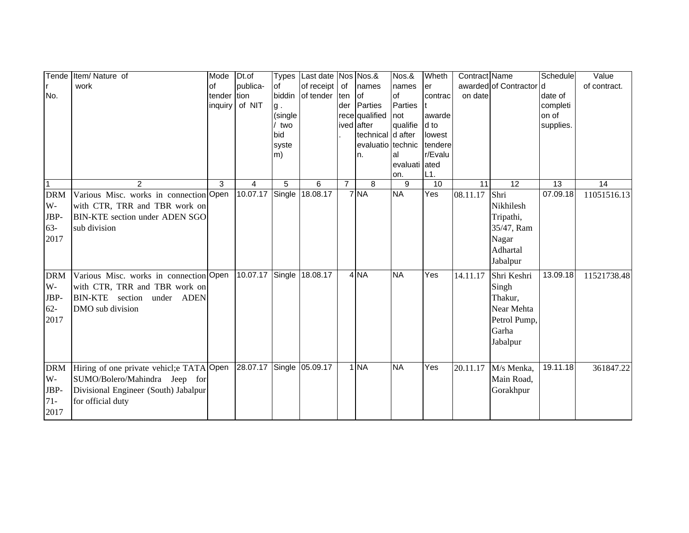| Tende<br>No.                                      | Item/ Nature of<br>work                                                                                                                | Mode<br><b>of</b><br>tender<br>inquiry | Dt.of<br>publica-<br>tion<br>of NIT | <b>Types</b><br><b>of</b><br>biddin<br>g.<br>(single<br>two<br>bid<br>syste<br>m) | Last date Nos Nos.&<br>of receipt  <br>of tender | of<br>ten<br>der | names<br>of<br>Parties<br>rece qualified<br>ived after<br>technical d after<br>evaluatio technic<br>n. | Nos.&<br>names<br>of<br>Parties<br>not<br>qualifie<br>al | Wheth<br>er<br>contrac<br>awarde<br>d to<br>lowest<br>tendere<br>r/Evalu | Contract Name<br>on date | awarded of Contractor d                                                             | Schedule<br>date of<br>completi<br>on of<br>supplies. | Value<br>of contract. |
|---------------------------------------------------|----------------------------------------------------------------------------------------------------------------------------------------|----------------------------------------|-------------------------------------|-----------------------------------------------------------------------------------|--------------------------------------------------|------------------|--------------------------------------------------------------------------------------------------------|----------------------------------------------------------|--------------------------------------------------------------------------|--------------------------|-------------------------------------------------------------------------------------|-------------------------------------------------------|-----------------------|
|                                                   |                                                                                                                                        |                                        |                                     |                                                                                   |                                                  |                  |                                                                                                        | evaluati ated<br>on.                                     | L1.                                                                      |                          |                                                                                     |                                                       |                       |
| 1<br><b>DRM</b><br>$W -$<br>JBP-<br>$63-$<br>2017 | 2<br>Various Misc. works in connection Open<br>with CTR, TRR and TBR work on<br>BIN-KTE section under ADEN SGO<br>sub division         | 3                                      | 4<br>10.07.17 Single                | 5                                                                                 | 6<br>18.08.17                                    | $\overline{7}$   | 8<br>7 <sub>NA</sub>                                                                                   | 9<br><b>NA</b>                                           | 10<br>$\overline{Y}$ es                                                  | 11<br>08.11.17           | 12<br>Shri<br>Nikhilesh<br>Tripathi,<br>35/47, Ram<br>Nagar<br>Adhartal<br>Jabalpur | 13<br>07.09.18                                        | 14<br>11051516.13     |
| <b>DRM</b><br>W-<br>JBP-<br>$62 -$<br>2017        | Various Misc. works in connection Open<br>with CTR, TRR and TBR work on<br>BIN-KTE section under ADEN<br>DMO sub division              |                                        | 10.07.17                            | Single                                                                            | 18.08.17                                         |                  | 4 NA                                                                                                   | <b>NA</b>                                                | Yes                                                                      | 14.11.17                 | Shri Keshri<br>Singh<br>Thakur,<br>Near Mehta<br>Petrol Pump,<br>Garha<br>Jabalpur  | 13.09.18                                              | 11521738.48           |
| <b>DRM</b><br>$W -$<br>JBP-<br>$71 -$<br>2017     | Hiring of one private vehicl; eTATA Open<br>SUMO/Bolero/Mahindra Jeep for<br>Divisional Engineer (South) Jabalpur<br>for official duty |                                        | 28.07.17 Single                     |                                                                                   | 05.09.17                                         |                  | 1 <sub>NA</sub>                                                                                        | <b>NA</b>                                                | Yes                                                                      | 20.11.17                 | M/s Menka,<br>Main Road,<br>Gorakhpur                                               | 19.11.18                                              | 361847.22             |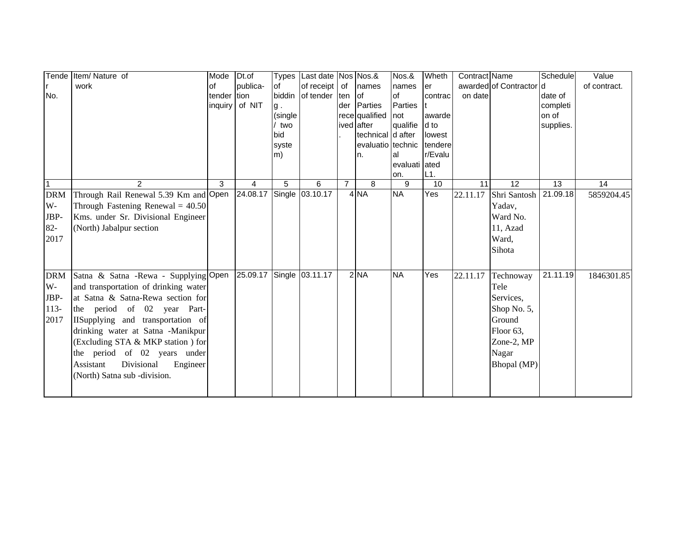|              | Tende Item/ Nature of                 | Mode    | Dt.of                    | <b>Types</b> | Last date Nos Nos.& |                |                                        | Nos.&         | Wheth             | Contract Name |                         | Schedule  | Value        |
|--------------|---------------------------------------|---------|--------------------------|--------------|---------------------|----------------|----------------------------------------|---------------|-------------------|---------------|-------------------------|-----------|--------------|
|              | work                                  | of      | publica-                 | lof          | of receipt          | of             | names                                  | names         | er                |               | awarded of Contractor d |           | of contract. |
| No.          |                                       | tender  | tion                     | biddin       | of tender  ten      |                | lof                                    | of            | contrac           | on date       |                         | date of   |              |
|              |                                       | inquiry | of NIT                   | g.           |                     | der            | Parties                                | Parties       |                   |               |                         | completi  |              |
|              |                                       |         |                          | (single      |                     |                | rece qualified                         | not           | awarde            |               |                         | on of     |              |
|              |                                       |         |                          | two          |                     |                | ived after                             | qualifie      | d to              |               |                         | supplies. |              |
|              |                                       |         |                          | bid          |                     |                | technical d after<br>evaluatio technic |               | lowest<br>tendere |               |                         |           |              |
|              |                                       |         |                          | syste<br>m)  |                     |                |                                        | al            | r/Evalu           |               |                         |           |              |
|              |                                       |         |                          |              |                     |                | n.                                     | evaluati ated |                   |               |                         |           |              |
|              |                                       |         |                          |              |                     |                |                                        | on.           | L1.               |               |                         |           |              |
| $\mathbf{1}$ | $\overline{2}$                        | 3       | 4                        | 5            | 6                   | $\overline{7}$ | 8                                      | 9             | 10                | 11            | $\overline{12}$         | 13        | 14           |
| <b>DRM</b>   | Through Rail Renewal 5.39 Km and Open |         | 24.08.17                 |              | Single 03.10.17     |                | 4 <sub>NA</sub>                        | <b>NA</b>     | Yes               | 22.11.17      | Shri Santosh 21.09.18   |           | 5859204.45   |
| W-           | Through Fastening Renewal = $40.50$   |         |                          |              |                     |                |                                        |               |                   |               | Yadav,                  |           |              |
| JBP-         | Kms. under Sr. Divisional Engineer    |         |                          |              |                     |                |                                        |               |                   |               | Ward No.                |           |              |
| $82 -$       | (North) Jabalpur section              |         |                          |              |                     |                |                                        |               |                   |               | 11, Azad                |           |              |
| 2017         |                                       |         |                          |              |                     |                |                                        |               |                   |               | Ward,                   |           |              |
|              |                                       |         |                          |              |                     |                |                                        |               |                   |               | Sihota                  |           |              |
|              |                                       |         |                          |              |                     |                |                                        |               |                   |               |                         |           |              |
|              |                                       |         |                          |              |                     |                |                                        |               |                   |               |                         |           |              |
| <b>DRM</b>   | Satna & Satna - Rewa - Supplying Open |         | 25.09.17 Single 03.11.17 |              |                     |                | $2$ NA                                 | <b>NA</b>     | Yes               | 22.11.17      | Technoway               | 21.11.19  | 1846301.85   |
| $W -$        | and transportation of drinking water  |         |                          |              |                     |                |                                        |               |                   |               | Tele                    |           |              |
| JBP-         | at Satna & Satna-Rewa section for     |         |                          |              |                     |                |                                        |               |                   |               | Services,               |           |              |
| $113-$       | the period of 02 year Part-           |         |                          |              |                     |                |                                        |               |                   |               | Shop No. 5,             |           |              |
| 2017         | IISupplying and transportation of     |         |                          |              |                     |                |                                        |               |                   |               | Ground                  |           |              |
|              | drinking water at Satna -Manikpur     |         |                          |              |                     |                |                                        |               |                   |               | Floor 63,               |           |              |
|              | (Excluding STA & MKP station) for     |         |                          |              |                     |                |                                        |               |                   |               | Zone-2, MP              |           |              |
|              | the period of 02 years under          |         |                          |              |                     |                |                                        |               |                   |               | Nagar                   |           |              |
|              | Assistant<br>Divisional<br>Engineer   |         |                          |              |                     |                |                                        |               |                   |               | Bhopal (MP)             |           |              |
|              | (North) Satna sub -division.          |         |                          |              |                     |                |                                        |               |                   |               |                         |           |              |
|              |                                       |         |                          |              |                     |                |                                        |               |                   |               |                         |           |              |
|              |                                       |         |                          |              |                     |                |                                        |               |                   |               |                         |           |              |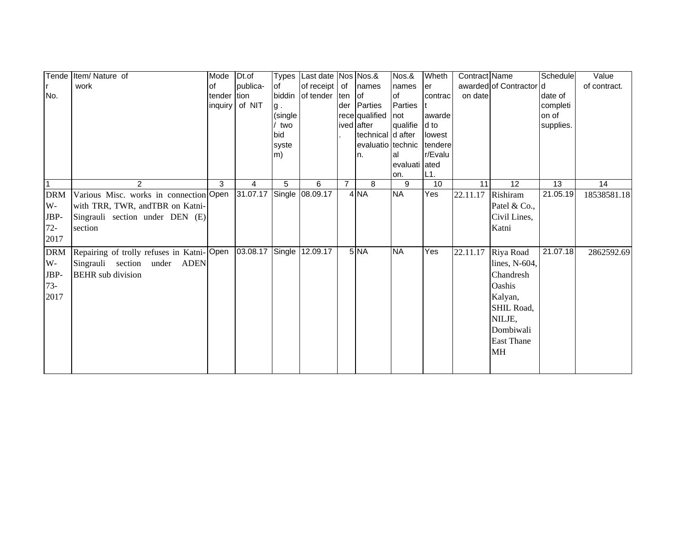|            | Tende Item/Nature of                      | Mode    | Dt.of                    |         | Types Last date Nos Nos.& |                |                   | Nos.&          | Wheth   | Contract Name |                         | Schedule  | Value        |
|------------|-------------------------------------------|---------|--------------------------|---------|---------------------------|----------------|-------------------|----------------|---------|---------------|-------------------------|-----------|--------------|
|            | work                                      | of      | publica-                 | lof     | of receipt of             |                | names             | names          | er      |               | awarded of Contractor d |           | of contract. |
| No.        |                                           | tender  | tion                     |         | biddin of tender          | ten lof        |                   | lof            | contrac | on date       |                         | date of   |              |
|            |                                           | inquiry | of NIT                   | g.      |                           |                | der Parties       | <b>Parties</b> |         |               |                         | completi  |              |
|            |                                           |         |                          | (single |                           |                | rece qualified    | not            | awarde  |               |                         | on of     |              |
|            |                                           |         |                          | / two   |                           |                | ived after        | qualifie       | d to    |               |                         | supplies. |              |
|            |                                           |         |                          | bid     |                           |                | technical d after |                | lowest  |               |                         |           |              |
|            |                                           |         |                          | syste   |                           |                | evaluatio technic |                | tendere |               |                         |           |              |
|            |                                           |         |                          | m)      |                           |                | In.               | al             | r/Evalu |               |                         |           |              |
|            |                                           |         |                          |         |                           |                |                   | evaluati ated  |         |               |                         |           |              |
|            |                                           |         |                          |         |                           |                |                   | on.            | L1.     |               |                         |           |              |
| 1          | $\overline{2}$                            | 3       | 4                        | 5       | 6                         | $\overline{7}$ | 8                 | 9              | 10      | 11            | 12                      | 13        | 14           |
| <b>DRM</b> | Various Misc. works in connection Open    |         | 31.07.17 Single 08.09.17 |         |                           |                | 4 NA              | <b>NA</b>      | Yes     | 22.11.17      | Rishiram                | 21.05.19  | 18538581.18  |
| W-         | with TRR, TWR, andTBR on Katni-           |         |                          |         |                           |                |                   |                |         |               | Patel & Co.,            |           |              |
| JBP-       | Singrauli section under DEN (E)           |         |                          |         |                           |                |                   |                |         |               | Civil Lines,            |           |              |
| $72-$      | section                                   |         |                          |         |                           |                |                   |                |         |               | Katni                   |           |              |
| 2017       |                                           |         |                          |         |                           |                |                   |                |         |               |                         |           |              |
| <b>DRM</b> | Repairing of trolly refuses in Katni-Open |         | 03.08.17 Single 12.09.17 |         |                           |                | 5 <sub>NA</sub>   | <b>NA</b>      | Yes     | 22.11.17      | Riya Road               | 21.07.18  | 2862592.69   |
| $W -$      | Singrauli section under ADEN              |         |                          |         |                           |                |                   |                |         |               | lines, N-604,           |           |              |
| JBP-       | <b>BEHR</b> sub division                  |         |                          |         |                           |                |                   |                |         |               | Chandresh               |           |              |
| $73-$      |                                           |         |                          |         |                           |                |                   |                |         |               | Oashis                  |           |              |
| 2017       |                                           |         |                          |         |                           |                |                   |                |         |               | Kalyan,                 |           |              |
|            |                                           |         |                          |         |                           |                |                   |                |         |               | SHIL Road,              |           |              |
|            |                                           |         |                          |         |                           |                |                   |                |         |               |                         |           |              |
|            |                                           |         |                          |         |                           |                |                   |                |         |               | NILJE,                  |           |              |
|            |                                           |         |                          |         |                           |                |                   |                |         |               | Dombiwali               |           |              |
|            |                                           |         |                          |         |                           |                |                   |                |         |               | <b>East Thane</b>       |           |              |
|            |                                           |         |                          |         |                           |                |                   |                |         |               | <b>MH</b>               |           |              |
|            |                                           |         |                          |         |                           |                |                   |                |         |               |                         |           |              |
|            |                                           |         |                          |         |                           |                |                   |                |         |               |                         |           |              |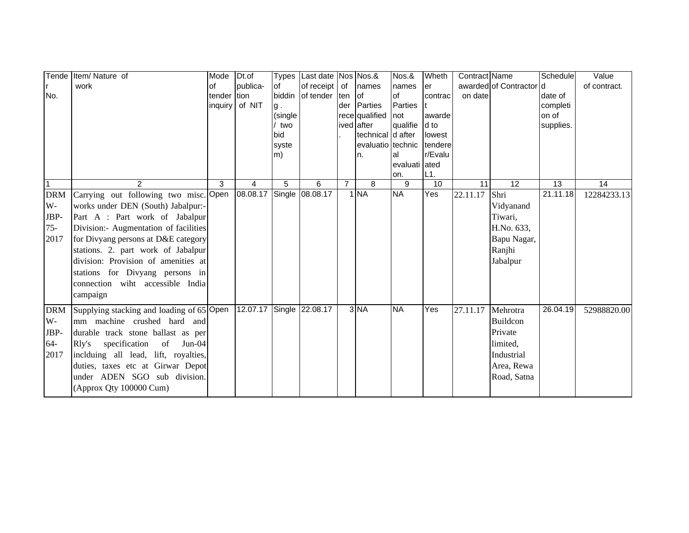|              | Tende Item/ Nature of                     | Mode    | Dt.of                    | <b>Types</b> | Last date Nos Nos.& |                |                                        | Nos.&         | Wheth          | Contract Name |                         | Schedule  | Value        |
|--------------|-------------------------------------------|---------|--------------------------|--------------|---------------------|----------------|----------------------------------------|---------------|----------------|---------------|-------------------------|-----------|--------------|
|              | work                                      | of      | publica-                 | lof          | of receipt          | of             | names                                  | names         | er             |               | awarded of Contractor d |           | of contract. |
| No.          |                                           | tender  | tion                     | biddin       | of tender ten       |                | of                                     | of            | contrac        | on date       |                         | date of   |              |
|              |                                           | inquiry | of NIT                   | g.           |                     | der            | Parties                                | Parties       |                |               |                         | completi  |              |
|              |                                           |         |                          | (single      |                     |                | rece qualified                         | not           | awarde         |               |                         | on of     |              |
|              |                                           |         |                          | two<br>bid   |                     |                | ived after                             | qualifie      | d to<br>lowest |               |                         | supplies. |              |
|              |                                           |         |                          | syste        |                     |                | technical d after<br>evaluatio technic |               | tendere        |               |                         |           |              |
|              |                                           |         |                          | m)           |                     |                | n.                                     | al            | r/Evalu        |               |                         |           |              |
|              |                                           |         |                          |              |                     |                |                                        | evaluati ated |                |               |                         |           |              |
|              |                                           |         |                          |              |                     |                |                                        | on.           | L1.            |               |                         |           |              |
| $\mathbf{1}$ | $\overline{2}$                            | 3       | 4                        | 5            | 6                   | $\overline{7}$ | 8                                      | 9             | 10             | 11            | $\overline{12}$         | 13        | 14           |
| <b>DRM</b>   | Carrying out following two misc. Open     |         | 08.08.17                 |              | Single 08.08.17     |                | $1$ NA                                 | <b>NA</b>     | Yes            | 22.11.17      | Shri                    | 21.11.18  | 12284233.13  |
| W-           | works under DEN (South) Jabalpur:-        |         |                          |              |                     |                |                                        |               |                |               | Vidyanand               |           |              |
| JBP-         | Part A : Part work of Jabalpur            |         |                          |              |                     |                |                                        |               |                |               | Tiwari,                 |           |              |
| $75 -$       | Division:- Augmentation of facilities     |         |                          |              |                     |                |                                        |               |                |               | H.No. 633,              |           |              |
| 2017         | for Divyang persons at D&E category       |         |                          |              |                     |                |                                        |               |                |               | Bapu Nagar,             |           |              |
|              | stations. 2. part work of Jabalpur        |         |                          |              |                     |                |                                        |               |                |               | Ranjhi                  |           |              |
|              | division: Provision of amenities at       |         |                          |              |                     |                |                                        |               |                |               | Jabalpur                |           |              |
|              | stations for Divyang persons in           |         |                          |              |                     |                |                                        |               |                |               |                         |           |              |
|              | connection wiht accessible India          |         |                          |              |                     |                |                                        |               |                |               |                         |           |              |
|              | campaign                                  |         |                          |              |                     |                |                                        |               |                |               |                         |           |              |
|              |                                           |         | 12.07.17 Single 22.08.17 |              |                     |                | 3 NA                                   | <b>NA</b>     | Yes            |               |                         | 26.04.19  |              |
| <b>DRM</b>   | Supplying stacking and loading of 65 Open |         |                          |              |                     |                |                                        |               |                | 27.11.17      | Mehrotra                |           | 52988820.00  |
| W-           | mm machine crushed hard and               |         |                          |              |                     |                |                                        |               |                |               | Buildcon                |           |              |
| JBP-         | durable track stone ballast as per        |         |                          |              |                     |                |                                        |               |                |               | Private                 |           |              |
| $64 -$       | Rly's specification of<br>$Jun-04$        |         |                          |              |                     |                |                                        |               |                |               | limited,                |           |              |
| 2017         | inclduing all lead, lift, royalties,      |         |                          |              |                     |                |                                        |               |                |               | Industrial              |           |              |
|              | duties, taxes etc at Girwar Depot         |         |                          |              |                     |                |                                        |               |                |               | Area, Rewa              |           |              |
|              | under ADEN SGO sub division.              |         |                          |              |                     |                |                                        |               |                |               | Road, Satna             |           |              |
|              | (Approx Qty 100000 Cum)                   |         |                          |              |                     |                |                                        |               |                |               |                         |           |              |